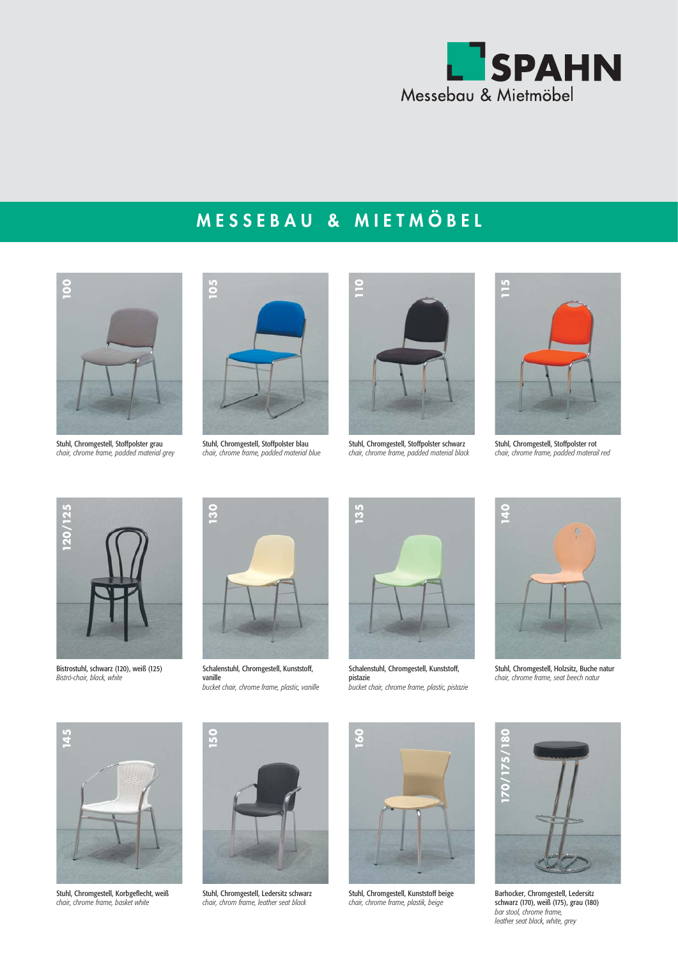

## **MESSEBAU & MIETMÖBEL**



Stuhl, Chromgestell, Stoffpolster grau<br>chair, chrome frame, padded material grey



Stuhl, Chromgestell, Stoffpolster blau<br>chair, chrome frame, padded material blue



Stuhl, Chromgestell, Stoffpolster schwarz<br>chair, chrome frame, padded material black



Stuhl, Chromgestell, Stoffpolster rot<br>chair, chrome frame, padded materail red



Bistrostuhl, schwarz (120), weiß (125)<br>Bistró-chair, black, white



Schalenstuhl, Chromgestell, Kunststoff, vanille<br>bucket chair, chrome frame, plastic, vanille



Schalenstuhl, Chromgestell, Kunststoff, pistazie<br>bucket chair, chrome frame, plastic, pistazie



Stuhl, Chromgestell, Holzsitz, Buche natur<br>chair, chrome frame, seat beech natur



Stuhl, Chromgestell, Korbgeflecht, weiß<br>chair, chrome frame, basket white



Stuhl, Chromgestell, Ledersitz schwarz<br>chair, chrom frame, leather seat black



Stuhl, Chromgestell, Kunststoff beige<br>chair, chrome frame, plastik, beige



Barhocker, Chromgestell, Ledersitz schwarz (170), weiß (175), grau (180) *bar stool, chrome frame, leather seat black, white, grey*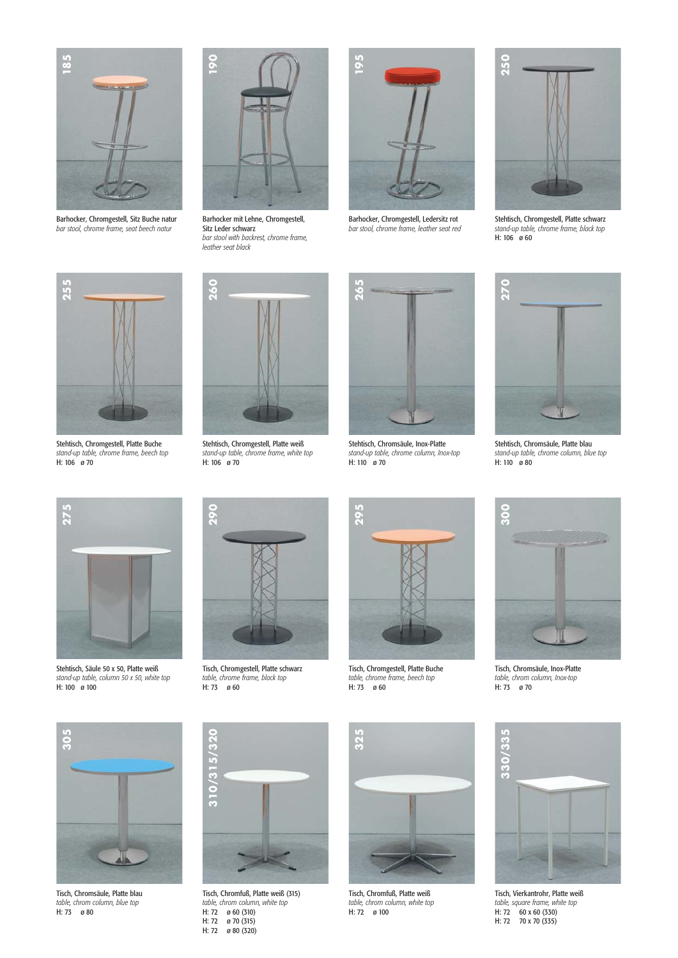

Barhocker, Chromgestell, Sitz Buche natur<br>bar stool, chrome frame, seat beech natur



Barhocker mit Lehne, Chromgestell, Sitz Leder schwarz *bar stool with backrest, chrome frame,* 



Barhocker, Chromgestell, Ledersitz rot<br>bar stool, chrome frame, leather seat red



Stehtisch, Chromgestell, Platte schwarz *stand-up table, chrome frame, black top*



Stehtisch, Chromgestell, Platte Buche *stand-up table, chrome frame, beech top*



Stehtisch, Chromgestell, Platte weiß *stand-up table, chrome frame, white top*



Stehtisch, Chromsäule, Inox-Platte *stand-up table, chrome column, Inox-top*



Stehtisch, Chromsäule, Platte blau *stand-up table, chrome column, blue top*



Stehtisch, Säule 50 x 50, Platte weiß *stand-up table, column 50 x 50, white top*



Tisch, Chromgestell, Platte schwarz *table, chrome frame, black top*



Tisch, Chromgestell, Platte Buche *table, chrome frame, beech top*<br>H: 73 *a* 60



Tisch, Chromsäule, Inox-Platte *table, chrom column, Inox-top*



Tisch, Chromsäule, Platte blau *table, chrom column, blue top*



Tisch, Chromfuß, Platte weiß (315) *table, chrom column, white top* H: 72 ø 60 (310) H: 72  $\cancel{\theta}$  70 (315)<br>H: 72  $\cancel{\theta}$  80 (320)



Tisch, Chromfuß, Platte weiß *table, chrom column, white top*



Tisch, Vierkantrohr, Platte weiß *table, square frame, white top* H: 72 60 x 60 (330)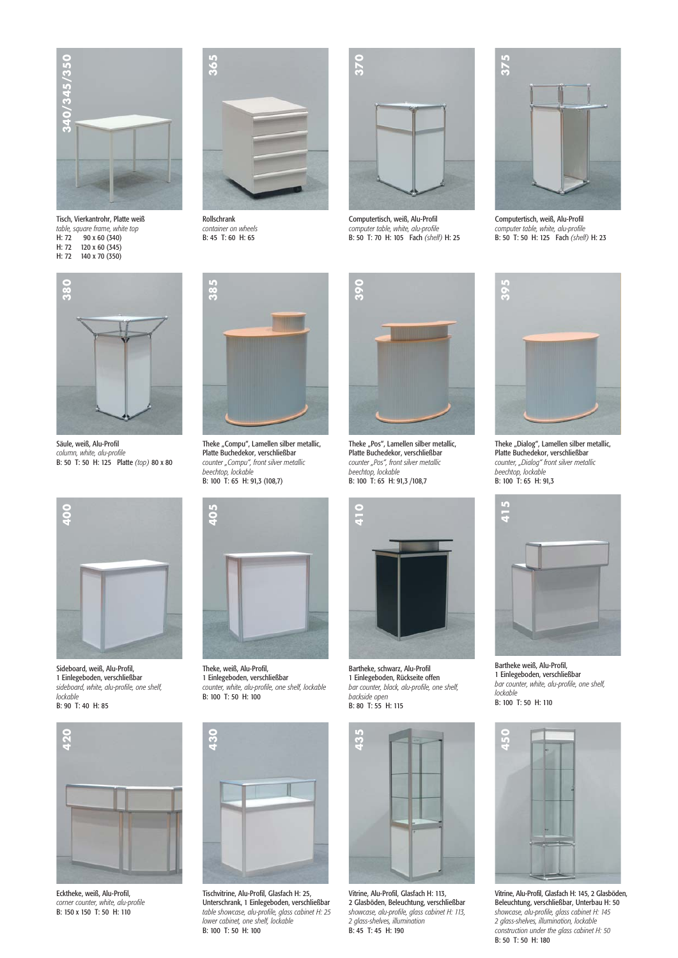

Tisch, Vierkantrohr, Platte weiß *table, square frame, white top* H: 72 90 x 60 (340)<br>H: 72 120 x 60 (345) H: 72 120 x 60 (345)<br>H: 72 140 x 70 (350)



Rollschrank *container on wheels*



Computertisch, weiß, Alu-Profil *computer table, white, alu-profile*



Computertisch, weiß, Alu-Profil *computer table, white, alu-profile*



Säule, weiß, Alu-Profil *column, white, alu-profile* 



Theke "Compu", Lamellen silber metallic, Platte Buchedekor, verschließbar *counter "Compu", front silver metallic beechtop, lockable*



Theke "Pos", Lamellen silber metallic, Platte Buchedekor, verschließbar *counter "Pos", front silver metallic beechtop, lockable*



Sideboard, weiß, Alu-Profil, 1 Einlegeboden, verschließbar *sideboard, white, alu-profile, one shelf, lockable*<br>**B: 90 T: 40 H: 85** 



Ecktheke, weiß, Alu-Profil, *corner counter, white, alu-profile*



Theke, weiß, Alu-Profil, 1 Einlegeboden, verschließbar *counter, white, alu-profile, one shelf, lockable*



Tischvitrine, Alu-Profil, Glasfach H: 25, Unterschrank, 1 Einlegeboden, verschließbar *table showcase, alu-profile, glass cabinet H: 25 lower cabinet, one shelf, lockable*



Bartheke, schwarz, Alu-Profil 1 Einlegeboden, Rückseite offen *bar counter, black, alu-profile, one shelf, backside open*



Vitrine, Alu-Profil, Glasfach H: 113, 2 Glasböden, Beleuchtung, verschließbar *showcase, alu-profile, glass cabinet H: 113, 2 glass-shelves, illumination*



Theke "Dialog", Lamellen silber metallic, Platte Buchedekor, verschließbar *counter, "Dialog" front silver metallic beechtop, lockable*



Bartheke weiß, Alu-Profil, 1 Einlegeboden, verschließbar *bar counter, white, alu-profile, one shelf, lockable*<br>**B**: 100 T: 50 H: 110



Vitrine, Alu-Profil, Glasfach H: 145, 2 Glasböden, Beleuchtung, verschließbar, Unterbau H: 50 *showcase, alu-profile, glass cabinet H: 145 2 glass-shelves, illumination, lockable construction under the glass cabinet H: 50* B: 50 T: 50 H: 180